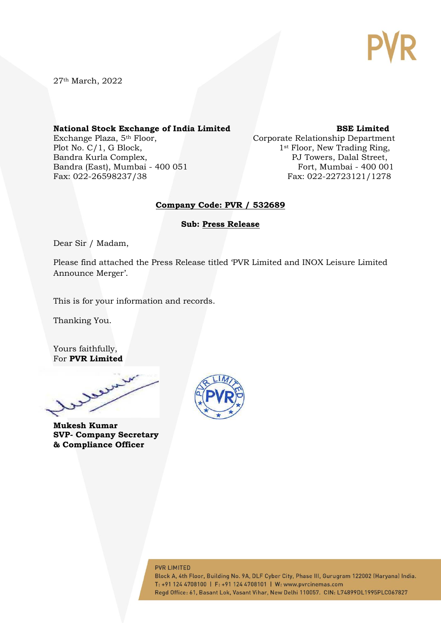

27th March, 2022

#### **National Stock Exchange of India Limited BSE Limited**

Exchange Plaza, 5<sup>th</sup> Floor, Corporate Relationship Department Plot No. C/1, G Block, 1st Floor, New Trading Ring, Bandra Kurla Complex, **PJ Towers, Dalal Street**, Bandra (East), Mumbai - 400 051 Fort, Mumbai - 400 001

Fax: 022-26598237/38 Fax: 022-22723121/1278

#### **Company Code: PVR / 532689**

**Sub: Press Release**

Dear Sir / Madam,

Please find attached the Press Release titled 'PVR Limited and INOX Leisure Limited Announce Merger'.

This is for your information and records.

Thanking You.

Yours faithfully, For **PVR Limited**

www.

**Mukesh Kumar SVP- Company Secretary & Compliance Officer**



#### **PVR LIMITED**

Block A, 4th Floor, Building No. 9A, DLF Cyber City, Phase III, Gurugram 122002 (Haryana) India. T: +91 124 4708100 | F: +91 124 4708101 | W: www.pvrcinemas.com Regd Office: 61, Basant Lok, Vasant Vihar, New Delhi 110057. CIN: L74899DL1995PLC067827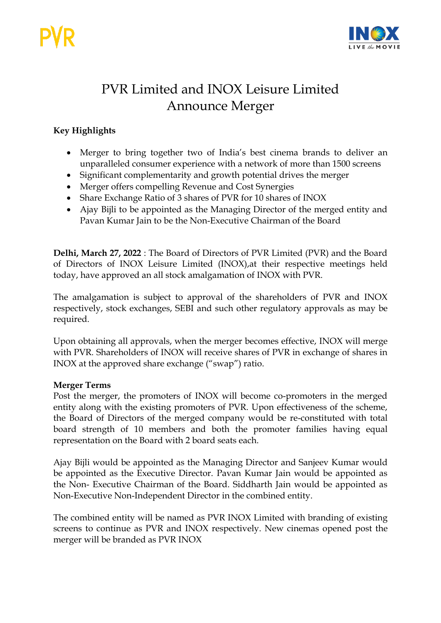

# PVR Limited and INOX Leisure Limited Announce Merger

# **Key Highlights**

- Merger to bring together two of India's best cinema brands to deliver an unparalleled consumer experience with a network of more than 1500 screens
- Significant complementarity and growth potential drives the merger
- Merger offers compelling Revenue and Cost Synergies
- Share Exchange Ratio of 3 shares of PVR for 10 shares of INOX
- Ajay Bijli to be appointed as the Managing Director of the merged entity and Pavan Kumar Jain to be the Non-Executive Chairman of the Board

**Delhi, March 27, 2022** : The Board of Directors of PVR Limited (PVR) and the Board of Directors of INOX Leisure Limited (INOX),at their respective meetings held today, have approved an all stock amalgamation of INOX with PVR.

The amalgamation is subject to approval of the shareholders of PVR and INOX respectively, stock exchanges, SEBI and such other regulatory approvals as may be required.

Upon obtaining all approvals, when the merger becomes effective, INOX will merge with PVR. Shareholders of INOX will receive shares of PVR in exchange of shares in INOX at the approved share exchange ("swap") ratio.

# **Merger Terms**

Post the merger, the promoters of INOX will become co-promoters in the merged entity along with the existing promoters of PVR. Upon effectiveness of the scheme, the Board of Directors of the merged company would be re-constituted with total board strength of 10 members and both the promoter families having equal representation on the Board with 2 board seats each.

Ajay Bijli would be appointed as the Managing Director and Sanjeev Kumar would be appointed as the Executive Director. Pavan Kumar Jain would be appointed as the Non- Executive Chairman of the Board. Siddharth Jain would be appointed as Non-Executive Non-Independent Director in the combined entity.

The combined entity will be named as PVR INOX Limited with branding of existing screens to continue as PVR and INOX respectively. New cinemas opened post the merger will be branded as PVR INOX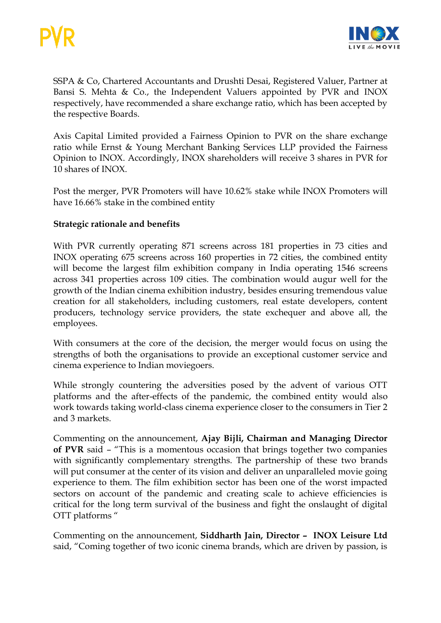

SSPA & Co, Chartered Accountants and Drushti Desai, Registered Valuer, Partner at Bansi S. Mehta & Co., the Independent Valuers appointed by PVR and INOX respectively, have recommended a share exchange ratio, which has been accepted by the respective Boards.

Axis Capital Limited provided a Fairness Opinion to PVR on the share exchange ratio while Ernst & Young Merchant Banking Services LLP provided the Fairness Opinion to INOX. Accordingly, INOX shareholders will receive 3 shares in PVR for 10 shares of INOX.

Post the merger, PVR Promoters will have 10.62% stake while INOX Promoters will have 16.66% stake in the combined entity

# **Strategic rationale and benefits**

With PVR currently operating 871 screens across 181 properties in 73 cities and INOX operating 675 screens across 160 properties in 72 cities, the combined entity will become the largest film exhibition company in India operating 1546 screens across 341 properties across 109 cities. The combination would augur well for the growth of the Indian cinema exhibition industry, besides ensuring tremendous value creation for all stakeholders, including customers, real estate developers, content producers, technology service providers, the state exchequer and above all, the employees.

With consumers at the core of the decision, the merger would focus on using the strengths of both the organisations to provide an exceptional customer service and cinema experience to Indian moviegoers.

While strongly countering the adversities posed by the advent of various OTT platforms and the after-effects of the pandemic, the combined entity would also work towards taking world-class cinema experience closer to the consumers in Tier 2 and 3 markets.

Commenting on the announcement, **Ajay Bijli, Chairman and Managing Director of PVR** said – "This is a momentous occasion that brings together two companies with significantly complementary strengths. The partnership of these two brands will put consumer at the center of its vision and deliver an unparalleled movie going experience to them. The film exhibition sector has been one of the worst impacted sectors on account of the pandemic and creating scale to achieve efficiencies is critical for the long term survival of the business and fight the onslaught of digital OTT platforms "

Commenting on the announcement, **Siddharth Jain, Director – INOX Leisure Ltd** said, "Coming together of two iconic cinema brands, which are driven by passion, is